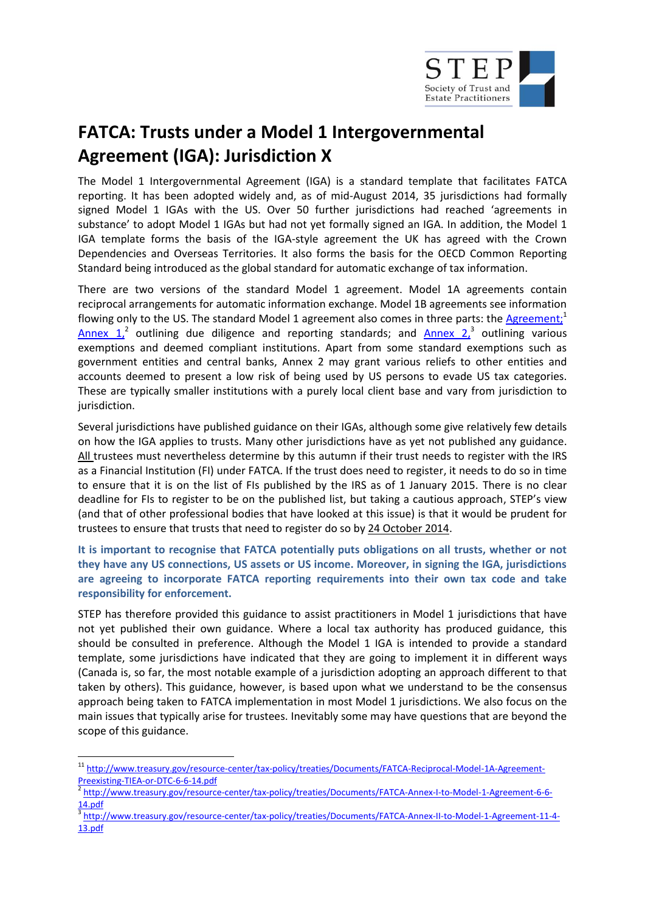

# **FATCA: Trusts under a Model 1 Intergovernmental Agreement (IGA): Jurisdiction X**

The Model 1 Intergovernmental Agreement (IGA) is a standard template that facilitates FATCA reporting. It has been adopted widely and, as of mid-August 2014, 35 jurisdictions had formally signed Model 1 IGAs with the US. Over 50 further jurisdictions had reached 'agreements in substance' to adopt Model 1 IGAs but had not yet formally signed an IGA. In addition, the Model 1 IGA template forms the basis of the IGA-style agreement the UK has agreed with the Crown Dependencies and Overseas Territories. It also forms the basis for the OECD Common Reporting Standard being introduced as the global standard for automatic exchange of tax information.

There are two versions of the standard Model 1 agreement. Model 1A agreements contain reciprocal arrangements for automatic information exchange. Model 1B agreements see information flowing only to the US. The standard Model 1 agreement also comes in three parts: the [Agreement;](http://www.treasury.gov/resource-center/tax-policy/treaties/Documents/FATCA-Reciprocal-Model-1A-Agreement-Preexisting-TIEA-or-DTC-6-6-14.pdf)<sup>1</sup>  $\frac{\text{Annex} \left(1\right)^2}{2}$  outlining due diligence and reporting standards; and  $\frac{\text{Annex} \left(2\right)^3}{2}$  outlining various exemptions and deemed compliant institutions. Apart from some standard exemptions such as government entities and central banks, Annex 2 may grant various reliefs to other entities and accounts deemed to present a low risk of being used by US persons to evade US tax categories. These are typically smaller institutions with a purely local client base and vary from jurisdiction to jurisdiction.

Several jurisdictions have published guidance on their IGAs, although some give relatively few details on how the IGA applies to trusts. Many other jurisdictions have as yet not published any guidance. All trustees must nevertheless determine by this autumn if their trust needs to register with the IRS as a Financial Institution (FI) under FATCA. If the trust does need to register, it needs to do so in time to ensure that it is on the list of FIs published by the IRS as of 1 January 2015. There is no clear deadline for FIs to register to be on the published list, but taking a cautious approach, STEP's view (and that of other professional bodies that have looked at this issue) is that it would be prudent for trustees to ensure that trusts that need to register do so by 24 October 2014.

**It is important to recognise that FATCA potentially puts obligations on all trusts, whether or not they have any US connections, US assets or US income. Moreover, in signing the IGA, jurisdictions are agreeing to incorporate FATCA reporting requirements into their own tax code and take responsibility for enforcement.** 

STEP has therefore provided this guidance to assist practitioners in Model 1 jurisdictions that have not yet published their own guidance. Where a local tax authority has produced guidance, this should be consulted in preference. Although the Model 1 IGA is intended to provide a standard template, some jurisdictions have indicated that they are going to implement it in different ways (Canada is, so far, the most notable example of a jurisdiction adopting an approach different to that taken by others). This guidance, however, is based upon what we understand to be the consensus approach being taken to FATCA implementation in most Model 1 jurisdictions. We also focus on the main issues that typically arise for trustees. Inevitably some may have questions that are beyond the scope of this guidance.

 11 [http://www.treasury.gov/resource-center/tax-policy/treaties/Documents/FATCA-Reciprocal-Model-1A-Agreement-](http://www.treasury.gov/resource-center/tax-policy/treaties/Documents/FATCA-Reciprocal-Model-1A-Agreement-Preexisting-TIEA-or-DTC-6-6-14.pdf)[Preexisting-TIEA-or-DTC-6-6-14.pdf](http://www.treasury.gov/resource-center/tax-policy/treaties/Documents/FATCA-Reciprocal-Model-1A-Agreement-Preexisting-TIEA-or-DTC-6-6-14.pdf)

<sup>2</sup> [http://www.treasury.gov/resource-center/tax-policy/treaties/Documents/FATCA-Annex-I-to-Model-1-Agreement-6-6-](http://www.treasury.gov/resource-center/tax-policy/treaties/Documents/FATCA-Annex-I-to-Model-1-Agreement-6-6-14.pdf) [14.pdf](http://www.treasury.gov/resource-center/tax-policy/treaties/Documents/FATCA-Annex-I-to-Model-1-Agreement-6-6-14.pdf)

<sup>3</sup> [http://www.treasury.gov/resource-center/tax-policy/treaties/Documents/FATCA-Annex-II-to-Model-1-Agreement-11-4-](http://www.treasury.gov/resource-center/tax-policy/treaties/Documents/FATCA-Annex-II-to-Model-1-Agreement-11-4-13.pdf) [13.pdf](http://www.treasury.gov/resource-center/tax-policy/treaties/Documents/FATCA-Annex-II-to-Model-1-Agreement-11-4-13.pdf)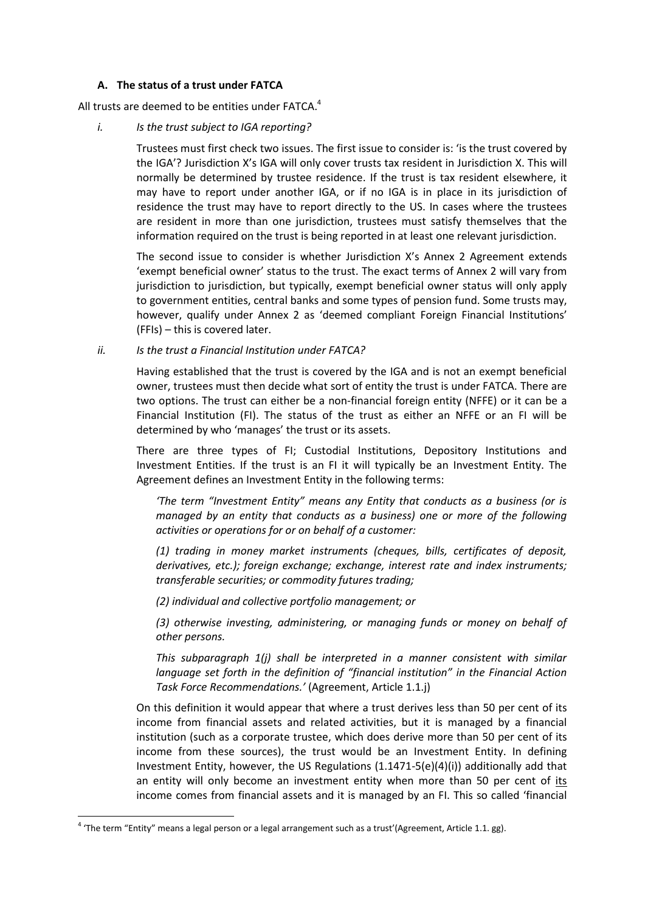## **A. The status of a trust under FATCA**

All trusts are deemed to be entities under FATCA. $^{4}$ 

## *i. Is the trust subject to IGA reporting?*

Trustees must first check two issues. The first issue to consider is: 'is the trust covered by the IGA'? Jurisdiction X's IGA will only cover trusts tax resident in Jurisdiction X. This will normally be determined by trustee residence. If the trust is tax resident elsewhere, it may have to report under another IGA, or if no IGA is in place in its jurisdiction of residence the trust may have to report directly to the US. In cases where the trustees are resident in more than one jurisdiction, trustees must satisfy themselves that the information required on the trust is being reported in at least one relevant jurisdiction.

The second issue to consider is whether Jurisdiction X's Annex 2 Agreement extends 'exempt beneficial owner' status to the trust. The exact terms of Annex 2 will vary from jurisdiction to jurisdiction, but typically, exempt beneficial owner status will only apply to government entities, central banks and some types of pension fund. Some trusts may, however, qualify under Annex 2 as 'deemed compliant Foreign Financial Institutions' (FFIs) – this is covered later.

*ii. Is the trust a Financial Institution under FATCA?*

Having established that the trust is covered by the IGA and is not an exempt beneficial owner, trustees must then decide what sort of entity the trust is under FATCA. There are two options. The trust can either be a non-financial foreign entity (NFFE) or it can be a Financial Institution (FI). The status of the trust as either an NFFE or an FI will be determined by who 'manages' the trust or its assets.

There are three types of FI; Custodial Institutions, Depository Institutions and Investment Entities. If the trust is an FI it will typically be an Investment Entity. The Agreement defines an Investment Entity in the following terms:

*'The term "Investment Entity" means any Entity that conducts as a business (or is managed by an entity that conducts as a business) one or more of the following activities or operations for or on behalf of a customer:*

*(1) trading in money market instruments (cheques, bills, certificates of deposit, derivatives, etc.); foreign exchange; exchange, interest rate and index instruments; transferable securities; or commodity futures trading;*

*(2) individual and collective portfolio management; or*

*(3) otherwise investing, administering, or managing funds or money on behalf of other persons.*

*This subparagraph 1(j) shall be interpreted in a manner consistent with similar language set forth in the definition of "financial institution" in the Financial Action Task Force Recommendations.'* (Agreement, Article 1.1.j)

On this definition it would appear that where a trust derives less than 50 per cent of its income from financial assets and related activities, but it is managed by a financial institution (such as a corporate trustee, which does derive more than 50 per cent of its income from these sources), the trust would be an Investment Entity. In defining Investment Entity, however, the US Regulations  $(1.1471-5(e)(4)(i))$  additionally add that an entity will only become an investment entity when more than 50 per cent of its income comes from financial assets and it is managed by an FI. This so called 'financial

**.** 

 $^4$  'The term "Entity" means a legal person or a legal arrangement such as a trust'(Agreement, Article 1.1. gg).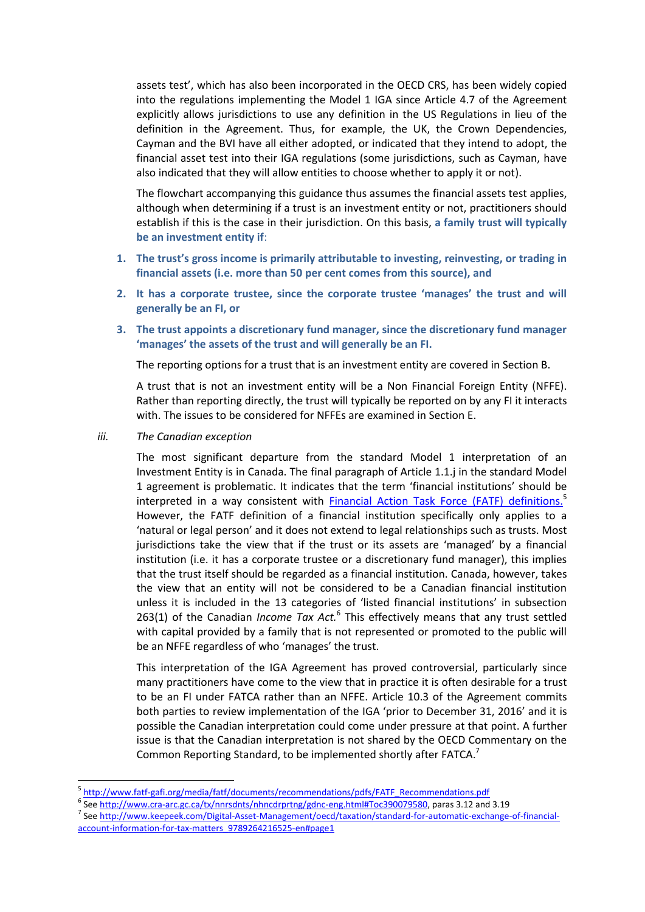assets test', which has also been incorporated in the OECD CRS, has been widely copied into the regulations implementing the Model 1 IGA since Article 4.7 of the Agreement explicitly allows jurisdictions to use any definition in the US Regulations in lieu of the definition in the Agreement. Thus, for example, the UK, the Crown Dependencies, Cayman and the BVI have all either adopted, or indicated that they intend to adopt, the financial asset test into their IGA regulations (some jurisdictions, such as Cayman, have also indicated that they will allow entities to choose whether to apply it or not).

The flowchart accompanying this guidance thus assumes the financial assets test applies, although when determining if a trust is an investment entity or not, practitioners should establish if this is the case in their jurisdiction. On this basis, **a family trust will typically be an investment entity if**:

- **1. The trust's gross income is primarily attributable to investing, reinvesting, or trading in financial assets (i.e. more than 50 per cent comes from this source), and**
- **2. It has a corporate trustee, since the corporate trustee 'manages' the trust and will generally be an FI, or**
- **3. The trust appoints a discretionary fund manager, since the discretionary fund manager 'manages' the assets of the trust and will generally be an FI.**

The reporting options for a trust that is an investment entity are covered in Section B.

A trust that is not an investment entity will be a Non Financial Foreign Entity (NFFE). Rather than reporting directly, the trust will typically be reported on by any FI it interacts with. The issues to be considered for NFFEs are examined in Section E.

*iii. The Canadian exception*

1

The most significant departure from the standard Model 1 interpretation of an Investment Entity is in Canada. The final paragraph of Article 1.1.j in the standard Model 1 agreement is problematic. It indicates that the term 'financial institutions' should be interpreted in a way consistent with **[Financial Action Task Force \(FATF\) definitions.](http://www.fatf-gafi.org/media/fatf/documents/recommendations/pdfs/FATF_Recommendations.pdf)**<sup>5</sup> However, the FATF definition of a financial institution specifically only applies to a 'natural or legal person' and it does not extend to legal relationships such as trusts. Most jurisdictions take the view that if the trust or its assets are 'managed' by a financial institution (i.e. it has a corporate trustee or a discretionary fund manager), this implies that the trust itself should be regarded as a financial institution. Canada, however, takes the view that an entity will not be considered to be a Canadian financial institution unless it is included in the 13 categories of 'listed financial institutions' in subsection 263(1) of the Canadian *Income Tax Act.*<sup>6</sup> This effectively means that any trust settled with capital provided by a family that is not represented or promoted to the public will be an NFFE regardless of who 'manages' the trust.

This interpretation of the IGA Agreement has proved controversial, particularly since many practitioners have come to the view that in practice it is often desirable for a trust to be an FI under FATCA rather than an NFFE. Article 10.3 of the Agreement commits both parties to review implementation of the IGA 'prior to December 31, 2016' and it is possible the Canadian interpretation could come under pressure at that point. A further issue is that the Canadian interpretation is not shared by the OECD Commentary on the Common Reporting Standard, to be implemented shortly after FATCA.<sup>7</sup>

<sup>5</sup> [http://www.fatf-gafi.org/media/fatf/documents/recommendations/pdfs/FATF\\_Recommendations.pdf](http://www.fatf-gafi.org/media/fatf/documents/recommendations/pdfs/FATF_Recommendations.pdf)

<sup>&</sup>lt;sup>6</sup> Se[e http://www.cra-arc.gc.ca/tx/nnrsdnts/nhncdrprtng/gdnc-eng.html#Toc390079580,](http://www.cra-arc.gc.ca/tx/nnrsdnts/nhncdrprtng/gdnc-eng.html#Toc390079580) paras 3.12 and 3.19

<sup>&</sup>lt;sup>7</sup> Se[e http://www.keepeek.com/Digital-Asset-Management/oecd/taxation/standard-for-automatic-exchange-of-financial](http://www.keepeek.com/Digital-Asset-Management/oecd/taxation/standard-for-automatic-exchange-of-financial-account-information-for-tax-matters_9789264216525-en#page1)[account-information-for-tax-matters\\_9789264216525-en#page1](http://www.keepeek.com/Digital-Asset-Management/oecd/taxation/standard-for-automatic-exchange-of-financial-account-information-for-tax-matters_9789264216525-en#page1)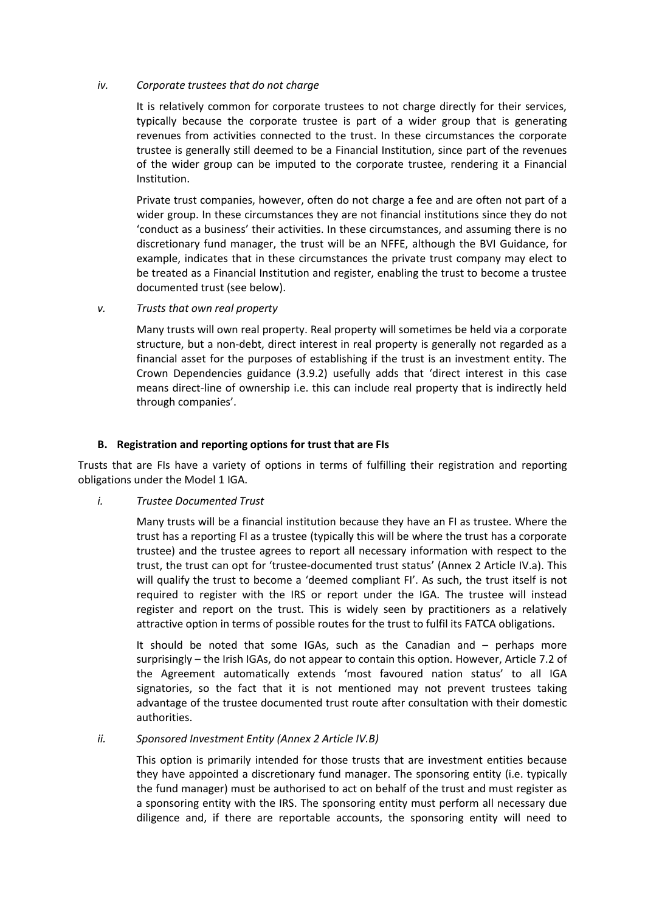## *iv. Corporate trustees that do not charge*

It is relatively common for corporate trustees to not charge directly for their services, typically because the corporate trustee is part of a wider group that is generating revenues from activities connected to the trust. In these circumstances the corporate trustee is generally still deemed to be a Financial Institution, since part of the revenues of the wider group can be imputed to the corporate trustee, rendering it a Financial Institution.

Private trust companies, however, often do not charge a fee and are often not part of a wider group. In these circumstances they are not financial institutions since they do not 'conduct as a business' their activities. In these circumstances, and assuming there is no discretionary fund manager, the trust will be an NFFE, although the BVI Guidance, for example, indicates that in these circumstances the private trust company may elect to be treated as a Financial Institution and register, enabling the trust to become a trustee documented trust (see below).

*v. Trusts that own real property*

Many trusts will own real property. Real property will sometimes be held via a corporate structure, but a non-debt, direct interest in real property is generally not regarded as a financial asset for the purposes of establishing if the trust is an investment entity. The Crown Dependencies guidance (3.9.2) usefully adds that 'direct interest in this case means direct-line of ownership i.e. this can include real property that is indirectly held through companies'.

## **B. Registration and reporting options for trust that are FIs**

Trusts that are FIs have a variety of options in terms of fulfilling their registration and reporting obligations under the Model 1 IGA.

## *i. Trustee Documented Trust*

Many trusts will be a financial institution because they have an FI as trustee. Where the trust has a reporting FI as a trustee (typically this will be where the trust has a corporate trustee) and the trustee agrees to report all necessary information with respect to the trust, the trust can opt for 'trustee-documented trust status' (Annex 2 Article IV.a). This will qualify the trust to become a 'deemed compliant FI'. As such, the trust itself is not required to register with the IRS or report under the IGA. The trustee will instead register and report on the trust. This is widely seen by practitioners as a relatively attractive option in terms of possible routes for the trust to fulfil its FATCA obligations.

It should be noted that some IGAs, such as the Canadian and – perhaps more surprisingly – the Irish IGAs, do not appear to contain this option. However, Article 7.2 of the Agreement automatically extends 'most favoured nation status' to all IGA signatories, so the fact that it is not mentioned may not prevent trustees taking advantage of the trustee documented trust route after consultation with their domestic authorities.

#### *ii. Sponsored Investment Entity (Annex 2 Article IV.B)*

This option is primarily intended for those trusts that are investment entities because they have appointed a discretionary fund manager. The sponsoring entity (i.e. typically the fund manager) must be authorised to act on behalf of the trust and must register as a sponsoring entity with the IRS. The sponsoring entity must perform all necessary due diligence and, if there are reportable accounts, the sponsoring entity will need to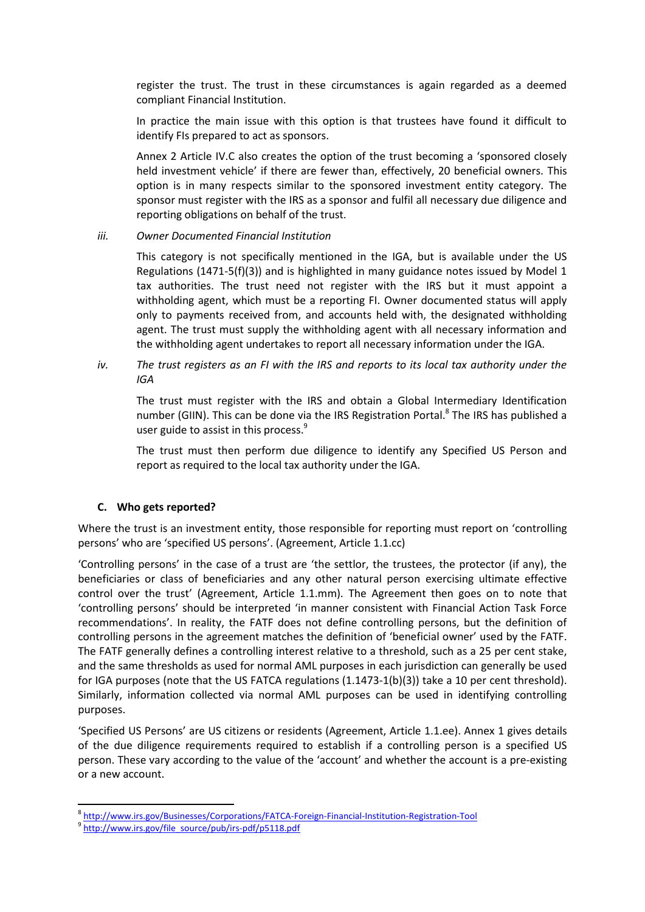register the trust. The trust in these circumstances is again regarded as a deemed compliant Financial Institution.

In practice the main issue with this option is that trustees have found it difficult to identify FIs prepared to act as sponsors.

Annex 2 Article IV.C also creates the option of the trust becoming a 'sponsored closely held investment vehicle' if there are fewer than, effectively, 20 beneficial owners. This option is in many respects similar to the sponsored investment entity category. The sponsor must register with the IRS as a sponsor and fulfil all necessary due diligence and reporting obligations on behalf of the trust.

## *iii. Owner Documented Financial Institution*

This category is not specifically mentioned in the IGA, but is available under the US Regulations (1471-5(f)(3)) and is highlighted in many guidance notes issued by Model 1 tax authorities. The trust need not register with the IRS but it must appoint a withholding agent, which must be a reporting FI. Owner documented status will apply only to payments received from, and accounts held with, the designated withholding agent. The trust must supply the withholding agent with all necessary information and the withholding agent undertakes to report all necessary information under the IGA.

*iv. The trust registers as an FI with the IRS and reports to its local tax authority under the IGA*

The trust must register with the IRS and obtain a Global Intermediary Identification number (GIIN). This can be done via the IRS Registration Portal.<sup>8</sup> The IRS has published a user guide to assist in this process.<sup>9</sup>

The trust must then perform due diligence to identify any Specified US Person and report as required to the local tax authority under the IGA.

## **C. Who gets reported?**

Where the trust is an investment entity, those responsible for reporting must report on 'controlling persons' who are 'specified US persons'. (Agreement, Article 1.1.cc)

'Controlling persons' in the case of a trust are 'the settlor, the trustees, the protector (if any), the beneficiaries or class of beneficiaries and any other natural person exercising ultimate effective control over the trust' (Agreement, Article 1.1.mm). The Agreement then goes on to note that 'controlling persons' should be interpreted 'in manner consistent with Financial Action Task Force recommendations'. In reality, the FATF does not define controlling persons, but the definition of controlling persons in the agreement matches the definition of 'beneficial owner' used by the FATF. The FATF generally defines a controlling interest relative to a threshold, such as a 25 per cent stake, and the same thresholds as used for normal AML purposes in each jurisdiction can generally be used for IGA purposes (note that the US FATCA regulations (1.1473-1(b)(3)) take a 10 per cent threshold). Similarly, information collected via normal AML purposes can be used in identifying controlling purposes.

'Specified US Persons' are US citizens or residents (Agreement, Article 1.1.ee). Annex 1 gives details of the due diligence requirements required to establish if a controlling person is a specified US person. These vary according to the value of the 'account' and whether the account is a pre-existing or a new account.

**.** 

<sup>8</sup> <http://www.irs.gov/Businesses/Corporations/FATCA-Foreign-Financial-Institution-Registration-Tool>

<sup>9</sup> [http://www.irs.gov/file\\_source/pub/irs-pdf/p5118.pdf](http://www.irs.gov/file_source/pub/irs-pdf/p5118.pdf)